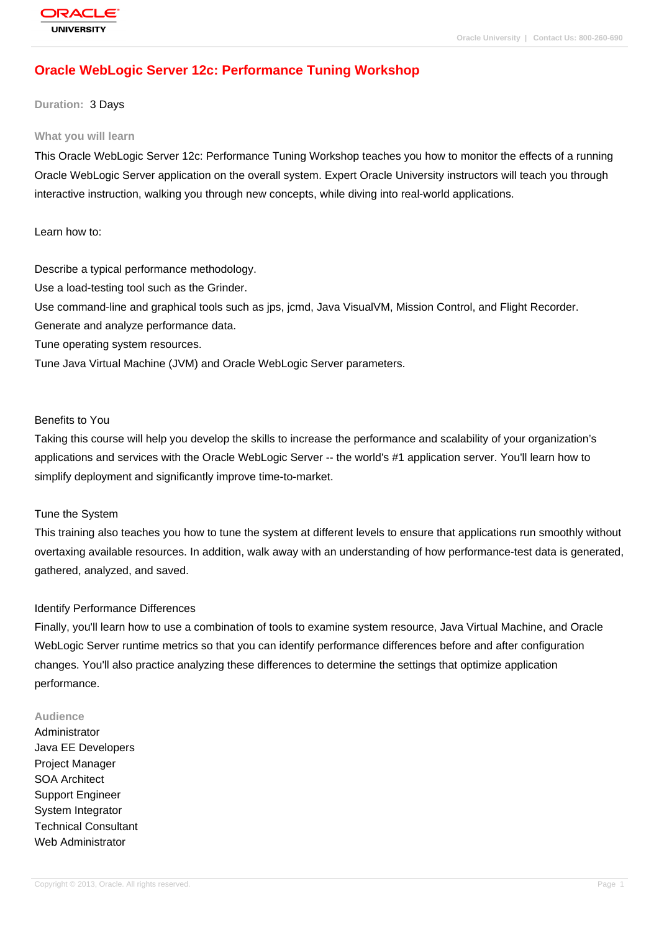# **[Oracle WebLog](http://education.oracle.com/pls/web_prod-plq-dad/db_pages.getpage?page_id=3)ic Server 12c: Performance Tuning Workshop**

### **Duration:** 3 Days

#### **What you will learn**

This Oracle WebLogic Server 12c: Performance Tuning Workshop teaches you how to monitor the effects of a running Oracle WebLogic Server application on the overall system. Expert Oracle University instructors will teach you through interactive instruction, walking you through new concepts, while diving into real-world applications.

Learn how to:

Describe a typical performance methodology.

Use a load-testing tool such as the Grinder.

Use command-line and graphical tools such as jps, jcmd, Java VisualVM, Mission Control, and Flight Recorder.

Generate and analyze performance data.

Tune operating system resources.

Tune Java Virtual Machine (JVM) and Oracle WebLogic Server parameters.

### Benefits to You

Taking this course will help you develop the skills to increase the performance and scalability of your organization's applications and services with the Oracle WebLogic Server -- the world's #1 application server. You'll learn how to simplify deployment and significantly improve time-to-market.

### Tune the System

This training also teaches you how to tune the system at different levels to ensure that applications run smoothly without overtaxing available resources. In addition, walk away with an understanding of how performance-test data is generated, gathered, analyzed, and saved.

### Identify Performance Differences

Finally, you'll learn how to use a combination of tools to examine system resource, Java Virtual Machine, and Oracle WebLogic Server runtime metrics so that you can identify performance differences before and after configuration changes. You'll also practice analyzing these differences to determine the settings that optimize application performance.

#### **Audience**

Administrator Java EE Developers Project Manager SOA Architect Support Engineer System Integrator Technical Consultant Web Administrator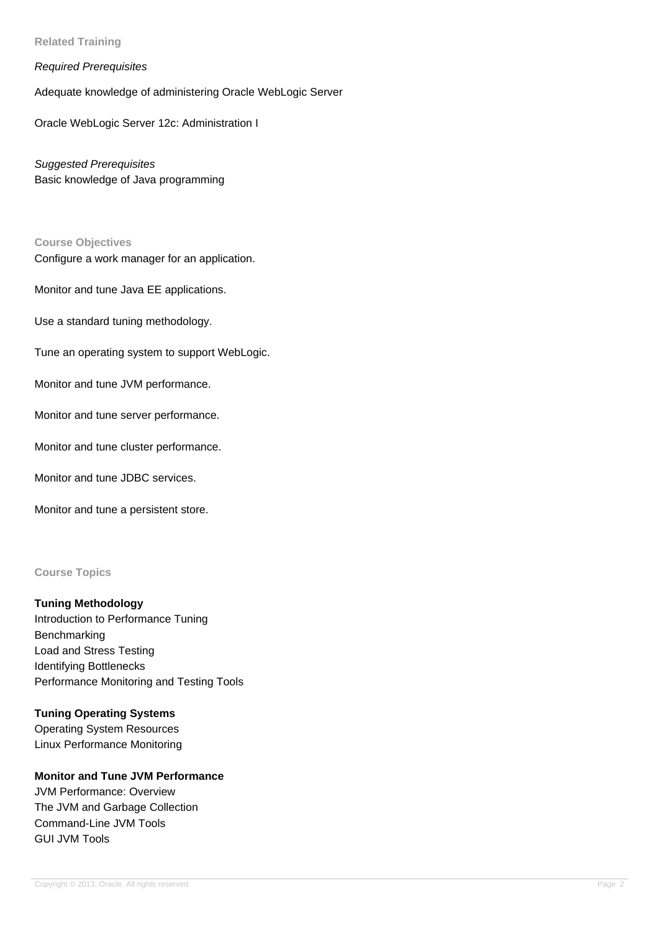**Related Training**

### Required Prerequisites

Adequate knowledge of administering Oracle WebLogic Server

Oracle WebLogic Server 12c: Administration I

Suggested Prerequisites Basic knowledge of Java programming

#### **Course Objectives**

Configure a work manager for an application.

Monitor and tune Java EE applications.

Use a standard tuning methodology.

Tune an operating system to support WebLogic.

Monitor and tune JVM performance.

Monitor and tune server performance.

Monitor and tune cluster performance.

Monitor and tune JDBC services.

Monitor and tune a persistent store.

#### **Course Topics**

### **Tuning Methodology**

Introduction to Performance Tuning Benchmarking Load and Stress Testing Identifying Bottlenecks Performance Monitoring and Testing Tools

## **Tuning Operating Systems**

Operating System Resources Linux Performance Monitoring

## **Monitor and Tune JVM Performance**

JVM Performance: Overview The JVM and Garbage Collection Command-Line JVM Tools GUI JVM Tools